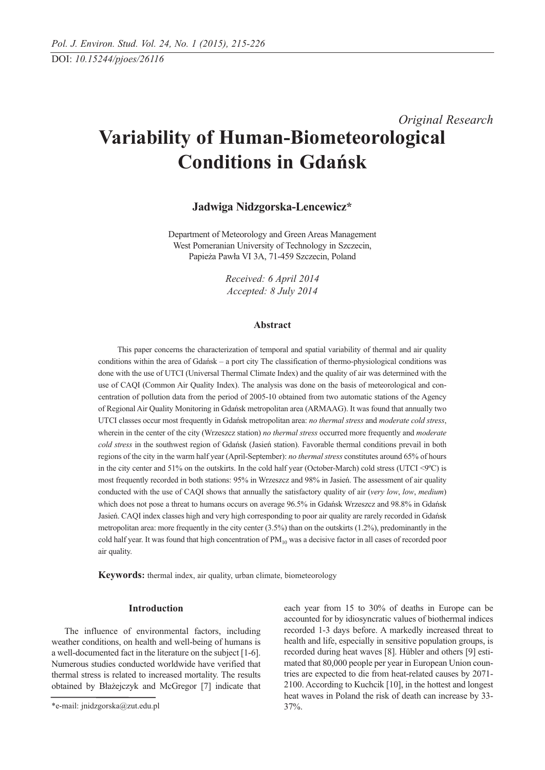# *Original Research* **Variability of Human-Biometeorological Conditions in Gdańsk**

## **Jadwiga Nidzgorska-Lencewicz\***

Department of Meteorology and Green Areas Management West Pomeranian University of Technology in Szczecin, Papieża Pawła VI 3A, 71-459 Szczecin, Poland

> *Received: 6 April 2014 Accepted: 8 July 2014*

#### **Abstract**

This paper concerns the characterization of temporal and spatial variability of thermal and air quality conditions within the area of Gdańsk – a port city The classification of thermo-physiological conditions was done with the use of UTCI (Universal Thermal Climate Index) and the quality of air was determined with the use of CAQI (Common Air Quality Index). The analysis was done on the basis of meteorological and concentration of pollution data from the period of 2005-10 obtained from two automatic stations of the Agency of Regional Air Quality Monitoring in Gdańsk metropolitan area (ARMAAG). It was found that annually two UTCI classes occur most frequently in Gdańsk metropolitan area: *no thermal stress* and *moderate cold stress*, wherein in the center of the city (Wrzeszcz station) *no thermal stress* occurred more frequently and *moderate cold stress* in the southwest region of Gdańsk (Jasień station). Favorable thermal conditions prevail in both regions of the city in the warm half year (April-September): *no thermal stress* constitutes around 65% of hours in the city center and 51% on the outskirts. In the cold half year (October-March) cold stress (UTCI <9ºC) is most frequently recorded in both stations: 95% in Wrzeszcz and 98% in Jasień. The assessment of air quality conducted with the use of CAQI shows that annually the satisfactory quality of air (*very low*, *low*, *medium*) which does not pose a threat to humans occurs on average 96.5% in Gdańsk Wrzeszcz and 98.8% in Gdańsk Jasień. CAQI index classes high and very high corresponding to poor air quality are rarely recorded in Gdańsk metropolitan area: more frequently in the city center (3.5%) than on the outskirts (1.2%), predominantly in the cold half year. It was found that high concentration of  $PM_{10}$  was a decisive factor in all cases of recorded poor air quality.

**Keywords:** thermal index, air quality, urban climate, biometeorology

## **Introduction**

The influence of environmental factors, including weather conditions, on health and well-being of humans is a well-documented fact in the literature on the subject [1-6]. Numerous studies conducted worldwide have verified that thermal stress is related to increased mortality. The results obtained by Błażejczyk and McGregor [7] indicate that each year from 15 to 30% of deaths in Europe can be accounted for by idiosyncratic values of biothermal indices recorded 1-3 days before. A markedly increased threat to health and life, especially in sensitive population groups, is recorded during heat waves [8]. Hübler and others [9] estimated that 80,000 people per year in European Union countries are expected to die from heat-related causes by 2071- 2100. According to Kuchcik [10], in the hottest and longest heat waves in Poland the risk of death can increase by 33- 37%.

<sup>\*</sup>e-mail: jnidzgorska@zut.edu.pl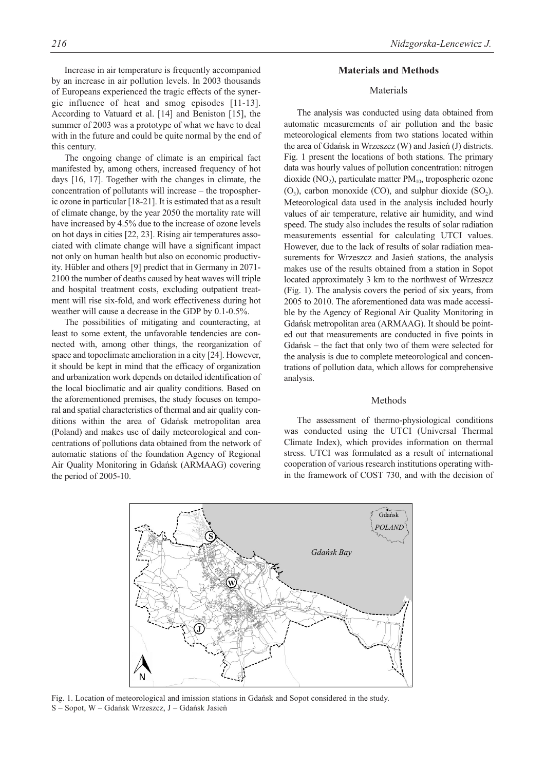this century. The ongoing change of climate is an empirical fact manifested by, among others, increased frequency of hot days [16, 17]. Together with the changes in climate, the concentration of pollutants will increase – the tropospheric ozone in particular [18-21]. It is estimated that as a result of climate change, by the year 2050 the mortality rate will have increased by 4.5% due to the increase of ozone levels on hot days in cities [22, 23]. Rising air temperatures associated with climate change will have a significant impact not only on human health but also on economic productivity. Hübler and others [9] predict that in Germany in 2071- 2100 the number of deaths caused by heat waves will triple and hospital treatment costs, excluding outpatient treatment will rise six-fold, and work effectiveness during hot weather will cause a decrease in the GDP by 0.1-0.5%.

with in the future and could be quite normal by the end of

The possibilities of mitigating and counteracting, at least to some extent, the unfavorable tendencies are connected with, among other things, the reorganization of space and topoclimate amelioration in a city [24]. However, it should be kept in mind that the efficacy of organization and urbanization work depends on detailed identification of the local bioclimatic and air quality conditions. Based on the aforementioned premises, the study focuses on temporal and spatial characteristics of thermal and air quality conditions within the area of Gdańsk metropolitan area (Poland) and makes use of daily meteorological and concentrations of pollutions data obtained from the network of automatic stations of the foundation Agency of Regional Air Quality Monitoring in Gdańsk (ARMAAG) covering the period of 2005-10.

#### **Materials and Methods**

## Materials

The analysis was conducted using data obtained from automatic measurements of air pollution and the basic meteorological elements from two stations located within the area of Gdańsk in Wrzeszcz (W) and Jasień (J) districts. Fig. 1 present the locations of both stations. The primary data was hourly values of pollution concentration: nitrogen dioxide (NO<sub>2</sub>), particulate matter  $PM_{10}$ , tropospheric ozone  $(O_3)$ , carbon monoxide (CO), and sulphur dioxide (SO<sub>2</sub>). Meteorological data used in the analysis included hourly values of air temperature, relative air humidity, and wind speed. The study also includes the results of solar radiation measurements essential for calculating UTCI values. However, due to the lack of results of solar radiation measurements for Wrzeszcz and Jasień stations, the analysis makes use of the results obtained from a station in Sopot located approximately 3 km to the northwest of Wrzeszcz (Fig. 1). The analysis covers the period of six years, from 2005 to 2010. The aforementioned data was made accessible by the Agency of Regional Air Quality Monitoring in Gdańsk metropolitan area (ARMAAG). It should be pointed out that measurements are conducted in five points in Gdańsk – the fact that only two of them were selected for the analysis is due to complete meteorological and concentrations of pollution data, which allows for comprehensive analysis.

## Methods

The assessment of thermo-physiological conditions was conducted using the UTCI (Universal Thermal Climate Index), which provides information on thermal stress. UTCI was formulated as a result of international cooperation of various research institutions operating within the framework of COST 730, and with the decision of



Fig. 1. Location of meteorological and imission stations in Gdańsk and Sopot considered in the study. S – Sopot, W – Gdańsk Wrzeszcz, J – Gdańsk Jasień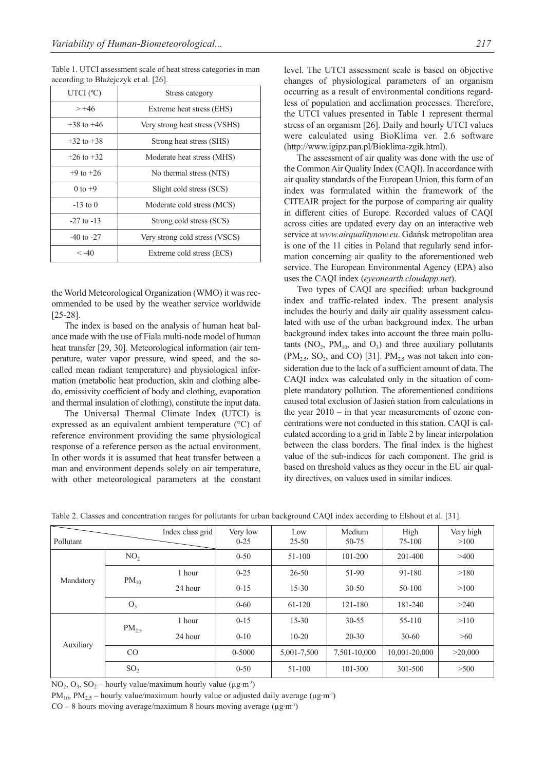Table 1. UTCI assessment scale of heat stress categories in man according to Błażejczyk et al. [26].

| UTCI $(°C)$    | Stress category                |  |
|----------------|--------------------------------|--|
| $> +46$        | Extreme heat stress (EHS)      |  |
| $+38$ to $+46$ | Very strong heat stress (VSHS) |  |
| $+32$ to $+38$ | Strong heat stress (SHS)       |  |
| $+26$ to $+32$ | Moderate heat stress (MHS)     |  |
| $+9$ to $+26$  | No thermal stress (NTS)        |  |
| $0$ to $+9$    | Slight cold stress (SCS)       |  |
| $-13$ to 0     | Moderate cold stress (MCS)     |  |
| $-27$ to $-13$ | Strong cold stress (SCS)       |  |
| $-40$ to $-27$ | Very strong cold stress (VSCS) |  |
| $\leq -40$     | Extreme cold stress (ECS)      |  |

the World Meteorological Organization (WMO) it was recommended to be used by the weather service worldwide [25-28].

The index is based on the analysis of human heat balance made with the use of Fiala multi-node model of human heat transfer [29, 30]. Meteorological information (air temperature, water vapor pressure, wind speed, and the socalled mean radiant temperature) and physiological information (metabolic heat production, skin and clothing albedo, emissivity coefficient of body and clothing, evaporation and thermal insulation of clothing), constitute the input data.

The Universal Thermal Climate Index (UTCI) is expressed as an equivalent ambient temperature (°C) of reference environment providing the same physiological response of a reference person as the actual environment. In other words it is assumed that heat transfer between a man and environment depends solely on air temperature, with other meteorological parameters at the constant level. The UTCI assessment scale is based on objective changes of physiological parameters of an organism occurring as a result of environmental conditions regardless of population and acclimation processes. Therefore, the UTCI values presented in Table 1 represent thermal stress of an organism [26]. Daily and hourly UTCI values were calculated using BioKlima ver. 2.6 software (http://www.igipz.pan.pl/Bioklima-zgik.html).

The assessment of air quality was done with the use of the Common Air Quality Index (CAQI). In accordance with air quality standards of the European Union, this form of an index was formulated within the framework of the CITEAIR project for the purpose of comparing air quality in different cities of Europe. Recorded values of CAQI across cities are updated every day on an interactive web service at *www.airqualitynow.eu*. Gdańsk metropolitan area is one of the 11 cities in Poland that regularly send information concerning air quality to the aforementioned web service. The European Environmental Agency (EPA) also uses the CAQI index (*eyeonearth.cloudapp.net*).

Two types of CAQI are specified: urban background index and traffic-related index. The present analysis includes the hourly and daily air quality assessment calculated with use of the urban background index. The urban background index takes into account the three main pollutants  $(NO_2, PM_{10}, and O_3)$  and three auxiliary pollutants  $(PM<sub>2.5</sub>, SO<sub>2</sub>, and CO)$  [31]. PM<sub>2.5</sub> was not taken into consideration due to the lack of a sufficient amount of data. The CAQI index was calculated only in the situation of complete mandatory pollution. The aforementioned conditions caused total exclusion of Jasień station from calculations in the year 2010 – in that year measurements of ozone concentrations were not conducted in this station. CAQI is calculated according to a grid in Table 2 by linear interpolation between the class borders. The final index is the highest value of the sub-indices for each component. The grid is based on threshold values as they occur in the EU air quality directives, on values used in similar indices.

| Index class grid<br>Pollutant |                 | Very low<br>$0 - 25$ | Low<br>$25 - 50$ | Medium<br>50-75 | High<br>75-100 | Very high<br>>100 |         |
|-------------------------------|-----------------|----------------------|------------------|-----------------|----------------|-------------------|---------|
|                               | NO <sub>2</sub> |                      | $0 - 50$         | 51-100          | $101 - 200$    | 201-400           | >400    |
| Mandatory                     | $PM_{10}$       | 1 hour               | $0 - 25$         | $26 - 50$       | 51-90          | 91-180            | >180    |
|                               |                 | 24 hour              | $0 - 15$         | $15 - 30$       | $30 - 50$      | 50-100            | >100    |
|                               | $O_3$           |                      | $0 - 60$         | 61-120          | 121-180        | 181-240           | >240    |
|                               | $PM_{2.5}$      | 1 hour               | $0 - 15$         | $15 - 30$       | $30 - 55$      | 55-110            | >110    |
| Auxiliary                     |                 | 24 hour              | $0 - 10$         | $10 - 20$       | $20 - 30$      | $30-60$           | >60     |
|                               | CO              |                      | 0-5000           | 5,001-7,500     | 7,501-10,000   | 10,001-20,000     | >20,000 |
|                               | SO <sub>2</sub> |                      | $0 - 50$         | 51-100          | 101-300        | 301-500           | >500    |

Table 2. Classes and concentration ranges for pollutants for urban background CAQI index according to Elshout et al. [31].

NO<sub>2</sub>, O<sub>3</sub>, SO<sub>2</sub> – hourly value/maximum hourly value ( $\mu$ g·m<sup>-3</sup>)

PM<sub>10</sub>, PM<sub>2.5</sub> – hourly value/maximum hourly value or adjusted daily average ( $\mu$ g·m<sup>-3</sup>)

 $CO - 8$  hours moving average/maximum 8 hours moving average ( $\mu$ g·m<sup>-3</sup>)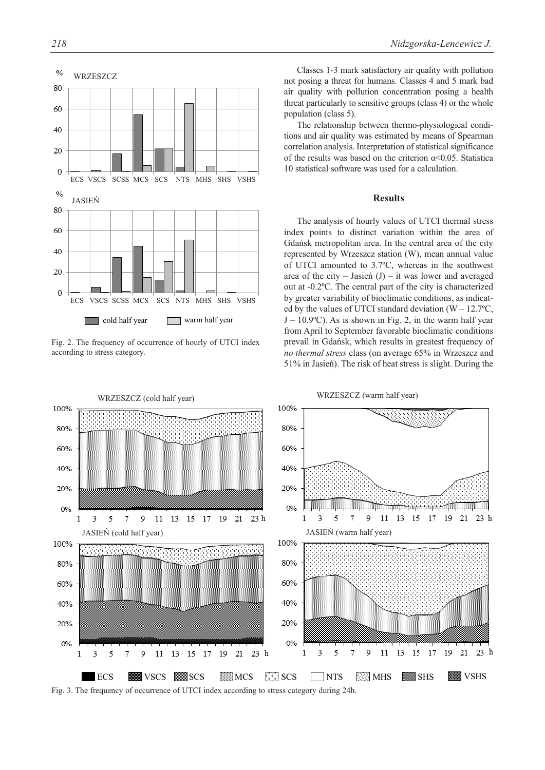

Fig. 2. The frequency of occurrence of hourly of UTCI index according to stress category.

Classes 1-3 mark satisfactory air quality with pollution not posing a threat for humans. Classes 4 and 5 mark bad air quality with pollution concentration posing a health threat particularly to sensitive groups (class 4) or the whole population (class 5).

The relationship between thermo-physiological conditions and air quality was estimated by means of Spearman correlation analysis. Interpretation of statistical significance of the results was based on the criterion  $\alpha \leq 0.05$ . Statistical 10 statistical software was used for a calculation.

## **Results**

The analysis of hourly values of UTCI thermal stress index points to distinct variation within the area of Gdańsk metropolitan area. In the central area of the city represented by Wrzeszcz station (W), mean annual value of UTCI amounted to 3.7ºC, whereas in the southwest area of the city – Jasień  $(J)$  – it was lower and averaged out at -0.2ºC. The central part of the city is characterized by greater variability of bioclimatic conditions, as indicated by the values of UTCI standard deviation ( $W - 12.7$ °C,  $J - 10.9$ °C). As is shown in Fig. 2, in the warm half year from April to September favorable bioclimatic conditions prevail in Gdańsk, which results in greatest frequency of *no thermal stress* class (on average 65% in Wrzeszcz and 51% in Jasień). The risk of heat stress is slight. During the



Fig. 3. The frequency of occurrence of UTCI index according to stress category during 24h.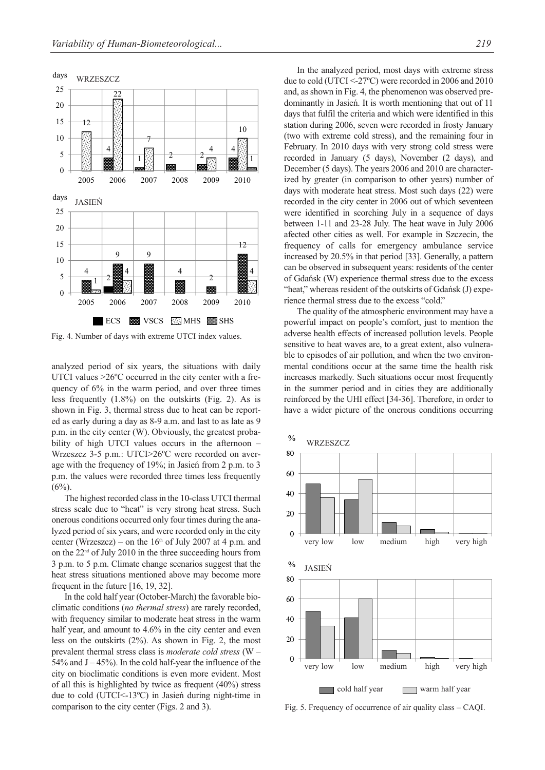

Fig. 4. Number of days with extreme UTCI index values.

analyzed period of six years, the situations with daily UTCI values  $>26^{\circ}$ C occurred in the city center with a frequency of 6% in the warm period, and over three times less frequently (1.8%) on the outskirts (Fig. 2). As is shown in Fig. 3, thermal stress due to heat can be reported as early during a day as 8-9 a.m. and last to as late as 9 p.m. in the city center (W). Obviously, the greatest probability of high UTCI values occurs in the afternoon – Wrzeszcz 3-5 p.m.: UTCI>26ºC were recorded on average with the frequency of 19%; in Jasień from 2 p.m. to 3 p.m. the values were recorded three times less frequently  $(6\%)$ .

The highest recorded class in the 10-class UTCI thermal stress scale due to "heat" is very strong heat stress. Such onerous conditions occurred only four times during the analyzed period of six years, and were recorded only in the city center (Wrzeszcz) – on the  $16<sup>th</sup>$  of July 2007 at 4 p.m. and on the  $22<sup>nd</sup>$  of July 2010 in the three succeeding hours from 3 p.m. to 5 p.m. Climate change scenarios suggest that the heat stress situations mentioned above may become more frequent in the future [16, 19, 32].

In the cold half year (October-March) the favorable bioclimatic conditions (*no thermal stress*) are rarely recorded, with frequency similar to moderate heat stress in the warm half year, and amount to 4.6% in the city center and even less on the outskirts (2%). As shown in Fig. 2, the most prevalent thermal stress class is *moderate cold stress* (W – 54% and  $J - 45$ %). In the cold half-year the influence of the city on bioclimatic conditions is even more evident. Most of all this is highlighted by twice as frequent (40%) stress due to cold (UTCI<-13ºC) in Jasień during night-time in comparison to the city center (Figs. 2 and 3).

In the analyzed period, most days with extreme stress due to cold (UTCI <-27ºC) were recorded in 2006 and 2010 and, as shown in Fig. 4, the phenomenon was observed predominantly in Jasień. It is worth mentioning that out of 11 days that fulfil the criteria and which were identified in this station during 2006, seven were recorded in frosty January (two with extreme cold stress), and the remaining four in February. In 2010 days with very strong cold stress were recorded in January (5 days), November (2 days), and December (5 days). The years 2006 and 2010 are characterized by greater (in comparison to other years) number of days with moderate heat stress. Most such days (22) were recorded in the city center in 2006 out of which seventeen were identified in scorching July in a sequence of days between 1-11 and 23-28 July. The heat wave in July 2006 afected other cities as well. For example in Szczecin, the frequency of calls for emergency ambulance service increased by 20.5% in that period [33]. Generally, a pattern can be observed in subsequent years: residents of the center of Gdańsk (W) experience thermal stress due to the excess "heat," whereas resident of the outskirts of Gdańsk (J) experience thermal stress due to the excess "cold."

The quality of the atmospheric environment may have a powerful impact on people's comfort, just to mention the adverse health effects of increased pollution levels. People sensitive to heat waves are, to a great extent, also vulnerable to episodes of air pollution, and when the two environmental conditions occur at the same time the health risk increases markedly. Such situations occur most frequently in the summer period and in cities they are additionally reinforced by the UHI effect [34-36]. Therefore, in order to have a wider picture of the onerous conditions occurring



Fig. 5. Frequency of occurrence of air quality class – CAQI.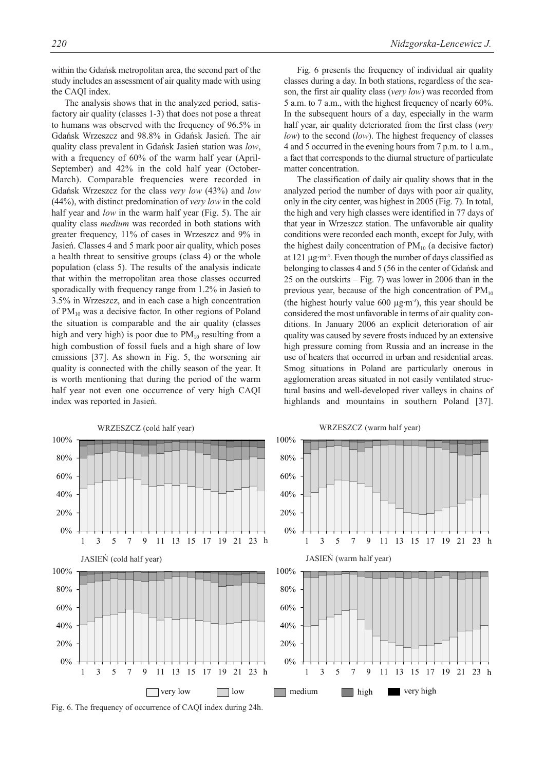The analysis shows that in the analyzed period, satisfactory air quality (classes 1-3) that does not pose a threat to humans was observed with the frequency of 96.5% in Gdańsk Wrzeszcz and 98.8% in Gdańsk Jasień. The air quality class prevalent in Gdańsk Jasień station was *low*, with a frequency of 60% of the warm half year (April-September) and 42% in the cold half year (October-March). Comparable frequencies were recorded in Gdańsk Wrzeszcz for the class *very low* (43%) and *low* (44%), with distinct predomination of *very low* in the cold half year and *low* in the warm half year (Fig. 5). The air quality class *medium* was recorded in both stations with greater frequency, 11% of cases in Wrzeszcz and 9% in Jasień. Classes 4 and 5 mark poor air quality, which poses a health threat to sensitive groups (class 4) or the whole population (class 5). The results of the analysis indicate that within the metropolitan area those classes occurred sporadically with frequency range from 1.2% in Jasień to 3.5% in Wrzeszcz, and in each case a high concentration of  $PM_{10}$  was a decisive factor. In other regions of Poland the situation is comparable and the air quality (classes high and very high) is poor due to  $PM_{10}$  resulting from a high combustion of fossil fuels and a high share of low emissions [37]. As shown in Fig. 5, the worsening air quality is connected with the chilly season of the year. It is worth mentioning that during the period of the warm half year not even one occurrence of very high CAQI index was reported in Jasień.

Fig. 6 presents the frequency of individual air quality classes during a day. In both stations, regardless of the season, the first air quality class (*very low*) was recorded from 5 a.m. to 7 a.m., with the highest frequency of nearly 60%. In the subsequent hours of a day, especially in the warm half year, air quality deteriorated from the first class (*very low*) to the second (*low*). The highest frequency of classes 4 and 5 occurred in the evening hours from 7 p.m. to 1 a.m., a fact that corresponds to the diurnal structure of particulate matter concentration.

The classification of daily air quality shows that in the analyzed period the number of days with poor air quality, only in the city center, was highest in 2005 (Fig. 7). In total, the high and very high classes were identified in 77 days of that year in Wrzeszcz station. The unfavorable air quality conditions were recorded each month, except for July, with the highest daily concentration of  $PM_{10}$  (a decisive factor) at 121 µg·m-3. Even though the number of days classified as belonging to classes 4 and 5 (56 in the center of Gdańsk and 25 on the outskirts – Fig. 7) was lower in 2006 than in the previous year, because of the high concentration of  $PM_{10}$ (the highest hourly value  $600 \mu\text{g·m}$ <sup>3</sup>), this year should be considered the most unfavorable in terms of air quality conditions. In January 2006 an explicit deterioration of air quality was caused by severe frosts induced by an extensive high pressure coming from Russia and an increase in the use of heaters that occurred in urban and residential areas. Smog situations in Poland are particularly onerous in agglomeration areas situated in not easily ventilated structural basins and well-developed river valleys in chains of highlands and mountains in southern Poland [37].



Fig. 6. The frequency of occurrence of CAQI index during 24h.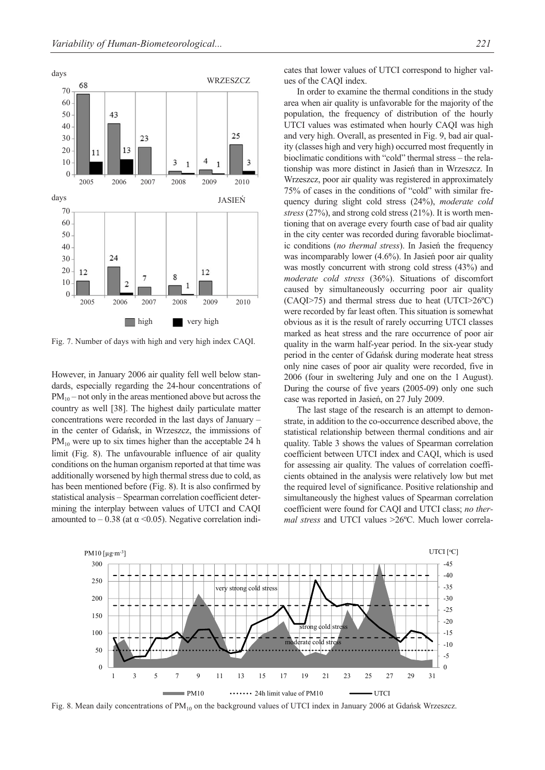

Fig. 7. Number of days with high and very high index CAQI.

However, in January 2006 air quality fell well below standards, especially regarding the 24-hour concentrations of  $PM_{10}$  – not only in the areas mentioned above but across the country as well [38]. The highest daily particulate matter concentrations were recorded in the last days of January – in the center of Gdańsk, in Wrzeszcz, the immissions of  $PM_{10}$  were up to six times higher than the acceptable 24 h limit (Fig. 8). The unfavourable influence of air quality conditions on the human organism reported at that time was additionally worsened by high thermal stress due to cold, as has been mentioned before (Fig. 8). It is also confirmed by statistical analysis – Spearman correlation coefficient determining the interplay between values of UTCI and CAQI amounted to  $-0.38$  (at α <0.05). Negative correlation indicates that lower values of UTCI correspond to higher values of the CAQI index.

In order to examine the thermal conditions in the study area when air quality is unfavorable for the majority of the population, the frequency of distribution of the hourly UTCI values was estimated when hourly CAQI was high and very high. Overall, as presented in Fig. 9, bad air quality (classes high and very high) occurred most frequently in bioclimatic conditions with "cold" thermal stress – the relationship was more distinct in Jasień than in Wrzeszcz. In Wrzeszcz, poor air quality was registered in approximately 75% of cases in the conditions of "cold" with similar frequency during slight cold stress (24%), *moderate cold stress* (27%), and strong cold stress (21%). It is worth mentioning that on average every fourth case of bad air quality in the city center was recorded during favorable bioclimatic conditions (*no thermal stress*). In Jasień the frequency was incomparably lower (4.6%). In Jasień poor air quality was mostly concurrent with strong cold stress (43%) and *moderate cold stress* (36%). Situations of discomfort caused by simultaneously occurring poor air quality (CAQI>75) and thermal stress due to heat (UTCI>26ºC) were recorded by far least often. This situation is somewhat obvious as it is the result of rarely occurring UTCI classes marked as heat stress and the rare occurrence of poor air quality in the warm half-year period. In the six-year study period in the center of Gdańsk during moderate heat stress only nine cases of poor air quality were recorded, five in 2006 (four in sweltering July and one on the 1 August). During the course of five years (2005-09) only one such case was reported in Jasień, on 27 July 2009.

The last stage of the research is an attempt to demonstrate, in addition to the co-occurrence described above, the statistical relationship between thermal conditions and air quality. Table 3 shows the values of Spearman correlation coefficient between UTCI index and CAQI, which is used for assessing air quality. The values of correlation coefficients obtained in the analysis were relatively low but met the required level of significance. Positive relationship and simultaneously the highest values of Spearman correlation coefficient were found for CAQI and UTCI class; *no thermal stress* and UTCI values >26ºC. Much lower correla-



Fig. 8. Mean daily concentrations of PM<sub>10</sub> on the background values of UTCI index in January 2006 at Gdańsk Wrzeszcz.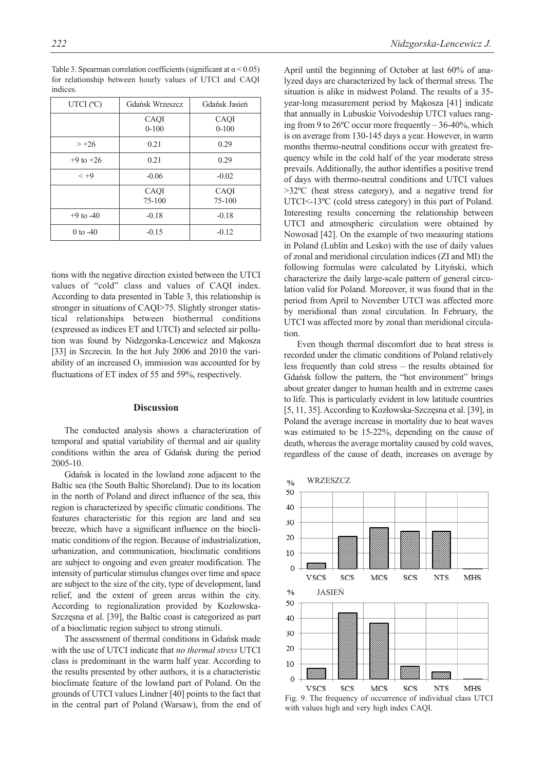| UTCI $(°C)$   | Gdańsk Wrzeszcz    | Gdańsk Jasień    |
|---------------|--------------------|------------------|
|               | CAQI<br>$0-100$    | CAQI<br>$0-100$  |
| $> +26$       | 0.21               | 0.29             |
|               |                    |                  |
| $+9$ to $+26$ | 0.21               | 0.29             |
| $< +9$        | $-0.06$            | $-0.02$          |
|               | CAQI<br>$75 - 100$ | CAQI<br>$75-100$ |
| $+9$ to $-40$ | $-0.18$            | $-0.18$          |
| 0 to $-40$    | $-0.15$            | $-0.12$          |

Table 3. Spearman correlation coefficients (significant at  $\alpha$  < 0.05) for relationship between hourly values of UTCI and CAQI indices.

tions with the negative direction existed between the UTCI values of "cold" class and values of CAQI index. According to data presented in Table 3, this relationship is stronger in situations of CAQI>75. Slightly stronger statistical relationships between biothermal conditions (expressed as indices ET and UTCI) and selected air pollution was found by Nidzgorska-Lencewicz and Mąkosza [33] in Szczecin. In the hot July 2006 and 2010 the variability of an increased  $O_3$  immission was accounted for by fluctuations of ET index of 55 and 59%, respectively.

#### **Discussion**

The conducted analysis shows a characterization of temporal and spatial variability of thermal and air quality conditions within the area of Gdańsk during the period 2005-10.

Gdańsk is located in the lowland zone adjacent to the Baltic sea (the South Baltic Shoreland). Due to its location in the north of Poland and direct influence of the sea, this region is characterized by specific climatic conditions. The features characteristic for this region are land and sea breeze, which have a significant influence on the bioclimatic conditions of the region. Because of industrialization, urbanization, and communication, bioclimatic conditions are subject to ongoing and even greater modification. The intensity of particular stimulus changes over time and space are subject to the size of the city, type of development, land relief, and the extent of green areas within the city. According to regionalization provided by Kozłowska-Szczęsna et al. [39], the Baltic coast is categorized as part of a bioclimatic region subject to strong stimuli.

The assessment of thermal conditions in Gdańsk made with the use of UTCI indicate that *no thermal stress* UTCI class is predominant in the warm half year. According to the results presented by other authors, it is a characteristic bioclimate feature of the lowland part of Poland. On the grounds of UTCI values Lindner [40] points to the fact that in the central part of Poland (Warsaw), from the end of April until the beginning of October at last 60% of analyzed days are characterized by lack of thermal stress. The situation is alike in midwest Poland. The results of a 35 year-long measurement period by Mąkosza [41] indicate that annually in Lubuskie Voivodeship UTCI values ranging from 9 to 26ºC occur more frequently – 36-40%, which is on average from 130-145 days a year. However, in warm months thermo-neutral conditions occur with greatest frequency while in the cold half of the year moderate stress prevails. Additionally, the author identifies a positive trend of days with thermo-neutral conditions and UTCI values >32ºC (heat stress category), and a negative trend for UTCI<-13ºC (cold stress category) in this part of Poland. Interesting results concerning the relationship between UTCI and atmospheric circulation were obtained by Nowosad [42]. On the example of two measuring stations in Poland (Lublin and Lesko) with the use of daily values of zonal and meridional circulation indices (ZI and MI) the following formulas were calculated by Lityński, which characterize the daily large-scale pattern of general circulation valid for Poland. Moreover, it was found that in the period from April to November UTCI was affected more by meridional than zonal circulation. In February, the UTCI was affected more by zonal than meridional circulation.

Even though thermal discomfort due to heat stress is recorded under the climatic conditions of Poland relatively less frequently than cold stress – the results obtained for Gdańsk follow the pattern, the "hot environment" brings about greater danger to human health and in extreme cases to life. This is particularly evident in low latitude countries [5, 11, 35]. According to Kozłowska-Szczęsna et al. [39], in Poland the average increase in mortality due to heat waves was estimated to be 15-22%, depending on the cause of death, whereas the average mortality caused by cold waves, regardless of the cause of death, increases on average by



Fig. 9. The frequency of occurrence of individual class UTCI with values high and very high index CAQI.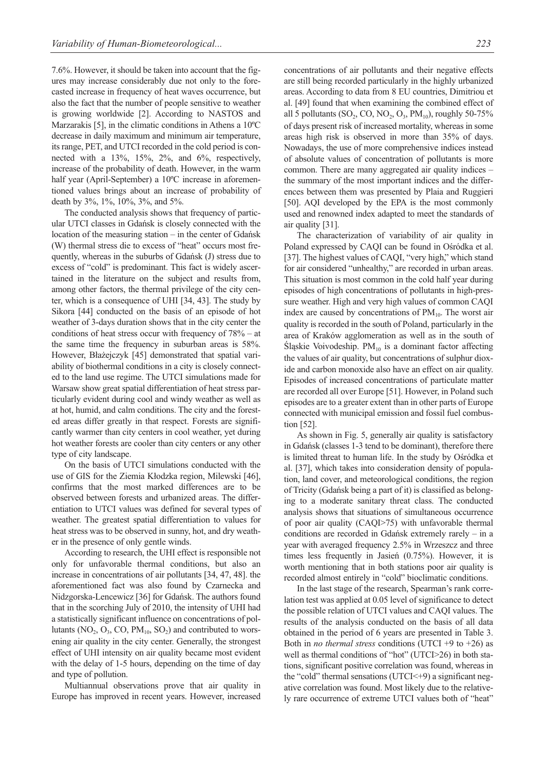7.6%. However, it should be taken into account that the figures may increase considerably due not only to the forecasted increase in frequency of heat waves occurrence, but also the fact that the number of people sensitive to weather is growing worldwide [2]. According to NASTOS and Marzarakis [5], in the climatic conditions in Athens a 10ºC decrease in daily maximum and minimum air temperature, its range, PET, and UTCI recorded in the cold period is connected with a 13%, 15%, 2%, and 6%, respectively, increase of the probability of death. However, in the warm half year (April-September) a 10ºC increase in aforementioned values brings about an increase of probability of death by 3%, 1%, 10%, 3%, and 5%.

The conducted analysis shows that frequency of particular UTCI classes in Gdańsk is closely connected with the location of the measuring station – in the center of Gdańsk (W) thermal stress die to excess of "heat" occurs most frequently, whereas in the suburbs of Gdańsk (J) stress due to excess of "cold" is predominant. This fact is widely ascertained in the literature on the subject and results from, among other factors, the thermal privilege of the city center, which is a consequence of UHI [34, 43]. The study by Sikora [44] conducted on the basis of an episode of hot weather of 3-days duration shows that in the city center the conditions of heat stress occur with frequency of 78% – at the same time the frequency in suburban areas is 58%. However, Błażejczyk [45] demonstrated that spatial variability of biothermal conditions in a city is closely connected to the land use regime. The UTCI simulations made for Warsaw show great spatial differentiation of heat stress particularly evident during cool and windy weather as well as at hot, humid, and calm conditions. The city and the forested areas differ greatly in that respect. Forests are significantly warmer than city centers in cool weather, yet during hot weather forests are cooler than city centers or any other type of city landscape.

On the basis of UTCI simulations conducted with the use of GIS for the Ziemia Kłodzka region, Milewski [46], confirms that the most marked differences are to be observed between forests and urbanized areas. The differentiation to UTCI values was defined for several types of weather. The greatest spatial differentiation to values for heat stress was to be observed in sunny, hot, and dry weather in the presence of only gentle winds.

According to research, the UHI effect is responsible not only for unfavorable thermal conditions, but also an increase in concentrations of air pollutants [34, 47, 48]. the aforementioned fact was also found by Czarnecka and Nidzgorska-Lencewicz [36] for Gdańsk. The authors found that in the scorching July of 2010, the intensity of UHI had a statistically significant influence on concentrations of pollutants  $(NO_2, O_3, CO, PM_{10}, SO_2)$  and contributed to worsening air quality in the city center. Generally, the strongest effect of UHI intensity on air quality became most evident with the delay of 1-5 hours, depending on the time of day and type of pollution.

Multiannual observations prove that air quality in Europe has improved in recent years. However, increased concentrations of air pollutants and their negative effects are still being recorded particularly in the highly urbanized areas. According to data from 8 EU countries, Dimitriou et al. [49] found that when examining the combined effect of all 5 pollutants (SO<sub>2</sub>, CO, NO<sub>2</sub>, O<sub>3</sub>, PM<sub>10</sub>), roughly 50-75% of days present risk of increased mortality, whereas in some areas high risk is observed in more than 35% of days. Nowadays, the use of more comprehensive indices instead of absolute values of concentration of pollutants is more common. There are many aggregated air quality indices – the summary of the most important indices and the differences between them was presented by Plaia and Ruggieri [50]. AQI developed by the EPA is the most commonly used and renowned index adapted to meet the standards of air quality [31].

The characterization of variability of air quality in Poland expressed by CAQI can be found in Ośródka et al. [37]. The highest values of CAQI, "very high," which stand for air considered "unhealthy," are recorded in urban areas. This situation is most common in the cold half year during episodes of high concentrations of pollutants in high-pressure weather. High and very high values of common CAQI index are caused by concentrations of  $PM_{10}$ . The worst air quality is recorded in the south of Poland, particularly in the area of Kraków agglomeration as well as in the south of Śląskie Voivodeship.  $PM_{10}$  is a dominant factor affecting the values of air quality, but concentrations of sulphur dioxide and carbon monoxide also have an effect on air quality. Episodes of increased concentrations of particulate matter are recorded all over Europe [51]. However, in Poland such episodes are to a greater extent than in other parts of Europe connected with municipal emission and fossil fuel combustion [52].

As shown in Fig. 5, generally air quality is satisfactory in Gdańsk (classes 1-3 tend to be dominant), therefore there is limited threat to human life. In the study by Ośródka et al. [37], which takes into consideration density of population, land cover, and meteorological conditions, the region of Tricity (Gdańsk being a part of it) is classified as belonging to a moderate sanitary threat class. The conducted analysis shows that situations of simultaneous occurrence of poor air quality (CAQI>75) with unfavorable thermal conditions are recorded in Gdańsk extremely rarely – in a year with averaged frequency 2.5% in Wrzeszcz and three times less frequently in Jasień (0.75%). However, it is worth mentioning that in both stations poor air quality is recorded almost entirely in "cold" bioclimatic conditions.

In the last stage of the research, Spearman's rank correlation test was applied at 0.05 level of significance to detect the possible relation of UTCI values and CAQI values. The results of the analysis conducted on the basis of all data obtained in the period of 6 years are presented in Table 3. Both in *no thermal stress* conditions (UTCI +9 to +26) as well as thermal conditions of "hot" (UTCI>26) in both stations, significant positive correlation was found, whereas in the "cold" thermal sensations (UTCI $\leq$ +9) a significant negative correlation was found. Most likely due to the relatively rare occurrence of extreme UTCI values both of "heat"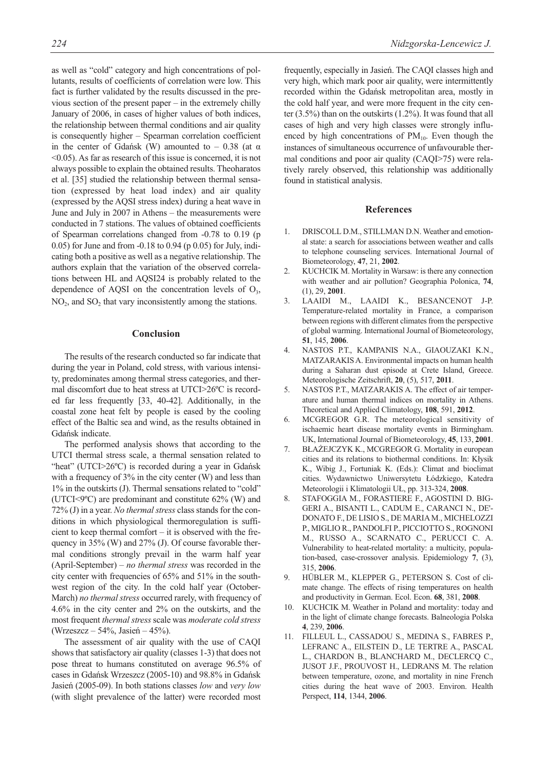as well as "cold" category and high concentrations of pollutants, results of coefficients of correlation were low. This fact is further validated by the results discussed in the previous section of the present paper – in the extremely chilly January of 2006, in cases of higher values of both indices, the relationship between thermal conditions and air quality is consequently higher – Spearman correlation coefficient in the center of Gdańsk (W) amounted to  $-0.38$  (at  $\alpha$ ) <0.05). As far as research of this issue is concerned, it is not always possible to explain the obtained results. Theoharatos et al. [35] studied the relationship between thermal sensation (expressed by heat load index) and air quality (expressed by the AQSI stress index) during a heat wave in June and July in 2007 in Athens – the measurements were conducted in 7 stations. The values of obtained coefficients of Spearman correlations changed from -0.78 to 0.19 (p 0.05) for June and from -0.18 to 0.94 (p 0.05) for July, indicating both a positive as well as a negative relationship. The authors explain that the variation of the observed correlations between HL and AQSI24 is probably related to the dependence of AQSI on the concentration levels of  $O_3$ ,  $NO<sub>2</sub>$ , and  $SO<sub>2</sub>$  that vary inconsistently among the stations.

### **Conclusion**

The results of the research conducted so far indicate that during the year in Poland, cold stress, with various intensity, predominates among thermal stress categories, and thermal discomfort due to heat stress at UTCI>26ºC is recorded far less frequently [33, 40-42]. Additionally, in the coastal zone heat felt by people is eased by the cooling effect of the Baltic sea and wind, as the results obtained in Gdańsk indicate.

The performed analysis shows that according to the UTCI thermal stress scale, a thermal sensation related to "heat" (UTCI>26°C) is recorded during a year in Gdańsk with a frequency of  $3\%$  in the city center (W) and less than 1% in the outskirts (J). Thermal sensations related to "cold" (UTCI<9ºC) are predominant and constitute 62% (W) and 72% (J) in a year. *No thermal stress* class stands for the conditions in which physiological thermoregulation is sufficient to keep thermal comfort – it is observed with the frequency in 35% (W) and 27% (J). Of course favorable thermal conditions strongly prevail in the warm half year (April-September) – *no thermal stress* was recorded in the city center with frequencies of 65% and 51% in the southwest region of the city. In the cold half year (October-March) *no thermal stress* occurred rarely, with frequency of 4.6% in the city center and 2% on the outskirts, and the most frequent *thermal stress* scale was *moderate cold stress* (Wrzeszcz – 54%, Jasień – 45%).

The assessment of air quality with the use of CAQI shows that satisfactory air quality (classes 1-3) that does not pose threat to humans constituted on average 96.5% of cases in Gdańsk Wrzeszcz (2005-10) and 98.8% in Gdańsk Jasień (2005-09). In both stations classes *low* and *very low* (with slight prevalence of the latter) were recorded most frequently, especially in Jasień. The CAQI classes high and very high, which mark poor air quality, were intermittently recorded within the Gdańsk metropolitan area, mostly in the cold half year, and were more frequent in the city center (3.5%) than on the outskirts (1.2%). It was found that all cases of high and very high classes were strongly influenced by high concentrations of  $PM_{10}$ . Even though the instances of simultaneous occurrence of unfavourable thermal conditions and poor air quality (CAQI>75) were relatively rarely observed, this relationship was additionally found in statistical analysis.

#### **References**

- 1. DRISCOLL D.M., STILLMAN D.N. Weather and emotional state: a search for associations between weather and calls to telephone counseling services. International Journal of Biometeorology, **47**, 21, **2002**.
- 2. KUCHCIK M. Mortality in Warsaw: is there any connection with weather and air pollution? Geographia Polonica, **74**, (1), 29, **2001**.
- 3. LAAIDI M., LAAIDI K., BESANCENOT J-P. Temperature-related mortality in France, a comparison between regions with different climates from the perspective of global warming. International Journal of Biometeorology, **51**, 145, **2006**.
- 4. NASTOS P.T., KAMPANIS N.A., GIAOUZAKI K.N., MATZARAKIS A. Environmental impacts on human health during a Saharan dust episode at Crete Island, Greece. Meteorologische Zeitschrift, **20**, (5), 517, **2011**.
- 5. NASTOS P.T., MATZARAKIS A. The effect of air temperature and human thermal indices on mortality in Athens. Theoretical and Applied Climatology, **108**, 591, **2012**.
- 6. MCGREGOR G.R. The meteorological sensitivity of ischaemic heart disease mortality events in Birmingham. UK, International Journal of Biometeorology, **45**, 133, **2001**.
- 7. BŁAŻEJCZYK K., MCGREGOR G. Mortality in european cities and its relations to biothermal conditions. In: Kłysik K., Wibig J., Fortuniak K. (Eds.): Climat and bioclimat cities. Wydawnictwo Uniwersytetu Łódzkiego, Katedra Meteorologii i Klimatologii UŁ, pp. 313-324, **2008**.
- 8. STAFOGGIA M., FORASTIERE F., AGOSTINI D. BIG-GERI A., BISANTI L., CADUM E., CARANCI N., DE'- DONATO F., DE LISIO S., DE MARIA M., MICHELOZZI P., MIGLIO R., PANDOLFI P., PICCIOTTO S., ROGNONI M., RUSSO A., SCARNATO C., PERUCCI C. A. Vulnerability to heat-related mortality: a multicity, population-based, case-crossover analysis. Epidemiology **7**, (3), 315, **2006**.
- 9. HÜBLER M., KLEPPER G., PETERSON S. Cost of climate change. The effects of rising temperatures on health and productivity in German. Ecol. Econ. **68**, 381, **2008**.
- 10. KUCHCIK M. Weather in Poland and mortality: today and in the light of climate change forecasts. Balneologia Polska **4**, 239, **2006**.
- 11. FILLEUL L., CASSADOU S., MEDINA S., FABRES P., LEFRANC A., EILSTEIN D., LE TERTRE A., PASCAL L., CHARDON B., BLANCHARD M., DECLERCQ C., JUSOT J.F., PROUVOST H., LEDRANS M. The relation between temperature, ozone, and mortality in nine French cities during the heat wave of 2003. Environ. Health Perspect, **114**, 1344, **2006**.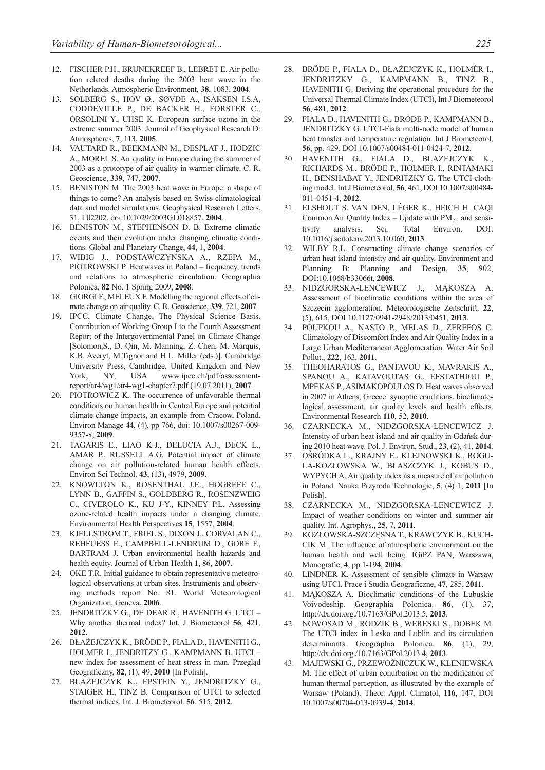- 12. FISCHER P.H., BRUNEKREEF B., LEBRET E. Air pollution related deaths during the 2003 heat wave in the Netherlands. Atmospheric Environment, **38**, 1083, **2004**.
- 13. SOLBERG S., HOV Ø., SØVDE A., ISAKSEN I.S.A, CODDEVILLE P., DE BACKER H., FORSTER C., ORSOLINI Y., UHSE K. European surface ozone in the extreme summer 2003. Journal of Geophysical Research D: Atmospheres, **7**, 113, **2005**.
- 14. VAUTARD R., BEEKMANN M., DESPLAT J., HODZIC A., MOREL S. Air quality in Europe during the summer of 2003 as a prototype of air quality in warmer climate. C. R. Geoscience, **339**, 747, **2007**.
- 15. BENISTON M. The 2003 heat wave in Europe: a shape of things to come? An analysis based on Swiss climatological data and model simulations. Geophysical Research Letters, 31, L02202. doi:10.1029/2003GL018857, **2004**.
- 16. BENISTON M., STEPHENSON D. B. Extreme climatic events and their evolution under changing climatic conditions. Global and Planetary Change, **44**, 1, **2004**.
- 17. WIBIG J., PODSTAWCZYŃSKA A., RZEPA M., PIOTROWSKI P. Heatwaves in Poland – frequency, trends and relations to atmospheric circulation. Geographia Polonica, **82** No. 1 Spring 2009, **2008**.
- 18. GIORGI F., MELEUX F. Modelling the regional effects of climate change on air quality. C. R. Geoscience, **339**, 721, **2007**.
- 19. IPCC, Climate Change, The Physical Science Basis. Contribution of Working Group I to the Fourth Assessment Report of the Intergovernmental Panel on Climate Change [Solomon,S., D. Qin, M. Manning, Z. Chen, M. Marquis, K.B. Averyt, M.Tignor and H.L. Miller (eds.)]. Cambridge University Press, Cambridge, United Kingdom and New York, NY, USA www.ipcc.ch/pdf/assessmentreport/ar4/wg1/ar4-wg1-chapter7.pdf (19.07.2011), **2007**.
- 20. PIOTROWICZ K. The occurrence of unfavorable thermal conditions on human health in Central Europe and potential climate change impacts, an example from Cracow, Poland. Environ Manage **44**, (4), pp 766, doi: 10.1007/s00267-009- 9357-x, **2009**.
- 21. TAGARIS E., LIAO K-J., DELUCIA A.J., DECK L., AMAR P., RUSSELL A.G. Potential impact of climate change on air pollution-related human health effects. Environ Sci Technol. **43**, (13), 4979, **2009**.
- 22. KNOWLTON K., ROSENTHAL J.E., HOGREFE C., LYNN B., GAFFIN S., GOLDBERG R., ROSENZWEIG C., CIVEROLO K., KU J-Y., KINNEY P.L. Assessing ozone-related health impacts under a changing climate. Environmental Health Perspectives **15**, 1557, **2004**.
- 23. KJELLSTROM T., FRIEL S., DIXON J., CORVALAN C., REHFUESS E., CAMPBELL-LENDRUM D., GORE F., BARTRAM J. Urban environmental health hazards and health equity. Journal of Urban Health **1**, 86, **2007**.
- 24. OKE T.R. Initial guidance to obtain representative meteorological observations at urban sites. Instruments and observing methods report No. 81. World Meteorological Organization, Geneva, **2006**.
- 25. JENDRITZKY G., DE DEAR R., HAVENITH G. UTCI Why another thermal index? Int. J Biometeorol **56**, 421, **2012**.
- 26. BŁAŻEJCZYK K., BRÖDE P., FIALA D., HAVENITH G., HOLMER I., JENDRITZY G., KAMPMANN B. UTCI – new index for assessment of heat stress in man. Przegląd Geograficzny, **82**, (1), 49, **2010** [In Polish].
- 27. BŁAŻEJCZYK K., EPSTEIN Y., JENDRITZKY G., STAIGER H., TINZ B. Comparison of UTCI to selected thermal indices. Int. J. Biometeorol. **56**, 515, **2012**.
- 28. BRÖDE P., FIALA D., BŁAŻEJCZYK K., HOLMÉR I., JENDRITZKY G., KAMPMANN B., TINZ B., HAVENITH G. Deriving the operational procedure for the Universal Thermal Climate Index (UTCI), Int J Biometeorol **56**, 481, **2012**.
- 29. FIALA D., HAVENITH G., BRÖDE P., KAMPMANN B., JENDRITZKY G. UTCI-Fiala multi-node model of human heat transfer and temperature regulation. Int J Biometeorol, **56**, pp. 429. DOI 10.1007/s00484-011-0424-7, **2012**.
- 30. HAVENITH G., FIALA D., BŁAZEJCZYK K., RICHARDS M., BRÖDE P., HOLMÉR I., RINTAMAKI H., BENSHABAT Y., JENDRITZKY G. The UTCI-clothing model. Int J Biometeorol, **56**, 461, DOI 10.1007/s00484- 011-0451-4, **2012**.
- 31. ELSHOUT S. VAN DEN, LÉGER K., HEICH H. CAQI Common Air Quality Index – Update with  $PM_2$ , and sensitivity analysis. Sci. Total Environ. DOI: 10.1016/j.scitotenv.2013.10.060, **2013**.
- 32. WILBY R.L. Constructing climate change scenarios of urban heat island intensity and air quality. Environment and Planning B: Planning and Design, **35**, 902, DOI:10.1068/b33066t, **2008**.
- 33. NIDZGORSKA-LENCEWICZ J., MĄKOSZA A. Assessment of bioclimatic conditions within the area of Szczecin agglomeration. Meteorologische Zeitschrift. **22**, (5), 615, DOI 10.1127/0941-2948/2013/0451, **2013**.
- 34. POUPKOU A., NASTO P., MELAS D., ZEREFOS C. Climatology of Discomfort Index and Air Quality Index in a Large Urban Mediterranean Agglomeration. Water Air Soil Pollut., **222**, 163, **2011**.
- 35. THEOHARATOS G., PANTAVOU K., MAVRAKIS A., SPANOU A., KATAVOUTAS G., EFSTATHIOU P., MPEKAS P., ASIMAKOPOULOS D. Heat waves observed in 2007 in Athens, Greece: synoptic conditions, bioclimatological assessment, air quality levels and health effects. Environmental Research **110**, 52, **2010**.
- 36. CZARNECKA M., NIDZGORSKA-LENCEWICZ J. Intensity of urban heat island and air quality in Gdańsk during 2010 heat wave. Pol. J. Environ. Stud., **23**, (2), 41, **2014**.
- 37. OŚRÓDKA L., KRAJNY E., KLEJNOWSKI K., ROGU-LA-KOZŁOWSKA W., BŁASZCZYK J., KOBUS D., WYPYCH A. Air quality index as a measure of air pollution in Poland. Nauka Przyroda Technologie, **5**, (4) 1, **2011** [In Polish].
- 38. CZARNECKA M., NIDZGORSKA-LENCEWICZ J. Impact of weather conditions on winter and summer air quality. Int. Agrophys., **25**, 7, **2011**.
- 39. KOZŁOWSKA-SZCZĘSNA T., KRAWCZYK B., KUCH-CIK M. The influence of atmospheric environment on the human health and well being. IGiPZ PAN, Warszawa, Monografie, **4**, pp 1-194, **2004**.
- 40. LINDNER K. Assessment of sensible climate in Warsaw using UTCI. Prace i Studia Geograficzne, **47**, 285, **2011**.
- 41. MĄKOSZA A. Bioclimatic conditions of the Lubuskie Voivodeship. Geographia Polonica. **86**, (1), 37, http://dx.doi.org./10.7163/GPol.2013.5, **2013**.
- 42. NOWOSAD M., RODZIK B., WERESKI S., DOBEK M. The UTCI index in Lesko and Lublin and its circulation determinants. Geographia Polonica. **86**, (1), 29, http://dx.doi.org./10.7163/GPol.2013.4, **2013**.
- 43. MAJEWSKI G., PRZEWOŹNICZUK W., KLENIEWSKA M. The effect of urban conurbation on the modification of human thermal perception, as illustrated by the example of Warsaw (Poland). Theor. Appl. Climatol, **116**, 147, DOI 10.1007/s00704-013-0939-4, **2014**.